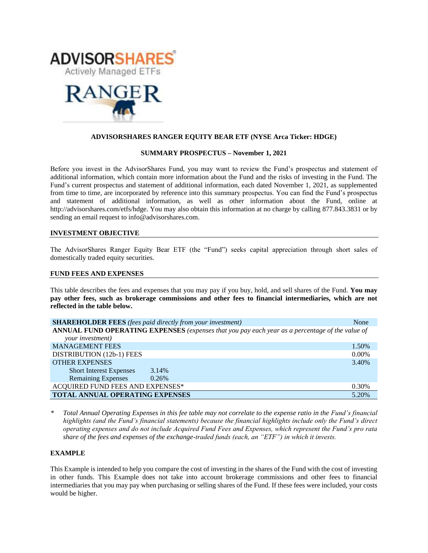



# **ADVISORSHARES RANGER EQUITY BEAR ETF (NYSE Arca Ticker: HDGE)**

### **SUMMARY PROSPECTUS – November 1, 2021**

Before you invest in the AdvisorShares Fund, you may want to review the Fund's prospectus and statement of additional information, which contain more information about the Fund and the risks of investing in the Fund. The Fund's [current prospectus and statement of additional information,](https://www.sec.gov/ix?doc=/Archives/edgar/data/1408970/000182912621013072/ck0001408970-20210630.htm) each dated November 1, 2021, as supplemented from time to time, are incorporated by reference into this summary prospectus. You can find the Fund's prospectus and statement of additional information, as well as other information about the Fund, online at http://advisorshares.com/etfs/hdge. You may also obtain this information at no charge by calling 877.843.3831 or by sending an email request to info@advisorshares.com.

### **INVESTMENT OBJECTIVE**

The AdvisorShares Ranger Equity Bear ETF (the "Fund") seeks capital appreciation through short sales of domestically traded equity securities.

### **FUND FEES AND EXPENSES**

This table describes the fees and expenses that you may pay if you buy, hold, and sell shares of the Fund. **You may pay other fees, such as brokerage commissions and other fees to financial intermediaries, which are not reflected in the table below.**

| <b>SHAREHOLDER FEES</b> (fees paid directly from your investment)                               | None     |  |
|-------------------------------------------------------------------------------------------------|----------|--|
| ANNUAL FUND OPERATING EXPENSES (expenses that you pay each year as a percentage of the value of |          |  |
| your investment)                                                                                |          |  |
| <b>MANAGEMENT FEES</b>                                                                          | 1.50%    |  |
| DISTRIBUTION (12b-1) FEES                                                                       | $0.00\%$ |  |
| <b>OTHER EXPENSES</b>                                                                           | 3.40%    |  |
| <b>Short Interest Expenses</b><br>3.14%                                                         |          |  |
| <b>Remaining Expenses</b><br>0.26%                                                              |          |  |
| ACQUIRED FUND FEES AND EXPENSES*                                                                | 0.30%    |  |
| <b>TOTAL ANNUAL OPERATING EXPENSES</b>                                                          | 5.20%    |  |

*\* Total Annual Operating Expenses in this fee table may not correlate to the expense ratio in the Fund's financial highlights (and the Fund's financial statements) because the financial highlights include only the Fund's direct operating expenses and do not include Acquired Fund Fees and Expenses, which represent the Fund's pro rata share of the fees and expenses of the exchange-traded funds (each, an "ETF") in which it invests.*

### **EXAMPLE**

This Example is intended to help you compare the cost of investing in the shares of the Fund with the cost of investing in other funds. This Example does not take into account brokerage commissions and other fees to financial intermediaries that you may pay when purchasing or selling shares of the Fund. If these fees were included, your costs would be higher.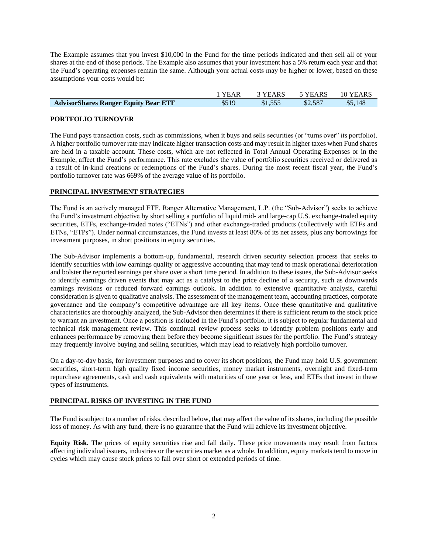The Example assumes that you invest \$10,000 in the Fund for the time periods indicated and then sell all of your shares at the end of those periods. The Example also assumes that your investment has a 5% return each year and that the Fund's operating expenses remain the same. Although your actual costs may be higher or lower, based on these assumptions your costs would be:

|                                             | 1 YEAR | 3 YEARS | 5 YEARS | 10 YEARS |
|---------------------------------------------|--------|---------|---------|----------|
| <b>AdvisorShares Ranger Equity Bear ETF</b> | \$519  | \$1,555 | \$2,587 | \$5.148  |
|                                             |        |         |         |          |

# **PORTFOLIO TURNOVER**

The Fund pays transaction costs, such as commissions, when it buys and sells securities (or "turns over" its portfolio). A higher portfolio turnover rate may indicate higher transaction costs and may result in higher taxes when Fund shares are held in a taxable account. These costs, which are not reflected in Total Annual Operating Expenses or in the Example, affect the Fund's performance. This rate excludes the value of portfolio securities received or delivered as a result of in-kind creations or redemptions of the Fund's shares. During the most recent fiscal year, the Fund's portfolio turnover rate was 669% of the average value of its portfolio.

## **PRINCIPAL INVESTMENT STRATEGIES**

The Fund is an actively managed ETF. Ranger Alternative Management, L.P. (the "Sub-Advisor") seeks to achieve the Fund's investment objective by short selling a portfolio of liquid mid- and large-cap U.S. exchange-traded equity securities, ETFs, exchange-traded notes ("ETNs") and other exchange-traded products (collectively with ETFs and ETNs, "ETPs"). Under normal circumstances, the Fund invests at least 80% of its net assets, plus any borrowings for investment purposes, in short positions in equity securities.

The Sub-Advisor implements a bottom-up, fundamental, research driven security selection process that seeks to identify securities with low earnings quality or aggressive accounting that may tend to mask operational deterioration and bolster the reported earnings per share over a short time period. In addition to these issues, the Sub-Advisor seeks to identify earnings driven events that may act as a catalyst to the price decline of a security, such as downwards earnings revisions or reduced forward earnings outlook. In addition to extensive quantitative analysis, careful consideration is given to qualitative analysis. The assessment of the management team, accounting practices, corporate governance and the company's competitive advantage are all key items. Once these quantitative and qualitative characteristics are thoroughly analyzed, the Sub-Advisor then determines if there is sufficient return to the stock price to warrant an investment. Once a position is included in the Fund's portfolio, it is subject to regular fundamental and technical risk management review. This continual review process seeks to identify problem positions early and enhances performance by removing them before they become significant issues for the portfolio. The Fund's strategy may frequently involve buying and selling securities, which may lead to relatively high portfolio turnover.

On a day-to-day basis, for investment purposes and to cover its short positions, the Fund may hold U.S. government securities, short-term high quality fixed income securities, money market instruments, overnight and fixed-term repurchase agreements, cash and cash equivalents with maturities of one year or less, and ETFs that invest in these types of instruments.

# **PRINCIPAL RISKS OF INVESTING IN THE FUND**

The Fund is subject to a number of risks, described below, that may affect the value of its shares, including the possible loss of money. As with any fund, there is no guarantee that the Fund will achieve its investment objective.

**Equity Risk.** The prices of equity securities rise and fall daily. These price movements may result from factors affecting individual issuers, industries or the securities market as a whole. In addition, equity markets tend to move in cycles which may cause stock prices to fall over short or extended periods of time.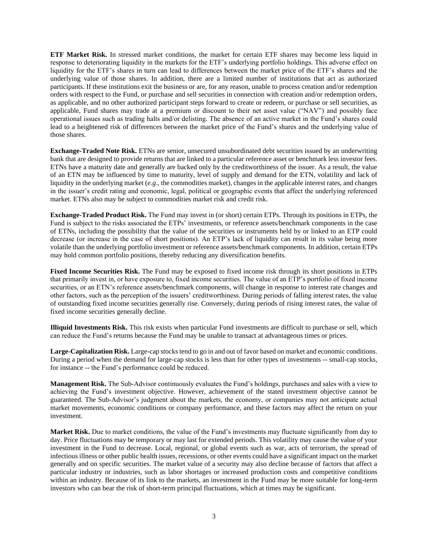**ETF Market Risk.** In stressed market conditions, the market for certain ETF shares may become less liquid in response to deteriorating liquidity in the markets for the ETF's underlying portfolio holdings. This adverse effect on liquidity for the ETF's shares in turn can lead to differences between the market price of the ETF's shares and the underlying value of those shares. In addition, there are a limited number of institutions that act as authorized participants. If these institutions exit the business or are, for any reason, unable to process creation and/or redemption orders with respect to the Fund, or purchase and sell securities in connection with creation and/or redemption orders, as applicable, and no other authorized participant steps forward to create or redeem, or purchase or sell securities, as applicable, Fund shares may trade at a premium or discount to their net asset value ("NAV") and possibly face operational issues such as trading halts and/or delisting. The absence of an active market in the Fund's shares could lead to a heightened risk of differences between the market price of the Fund's shares and the underlying value of those shares.

**Exchange-Traded Note Risk.** ETNs are senior, unsecured unsubordinated debt securities issued by an underwriting bank that are designed to provide returns that are linked to a particular reference asset or benchmark less investor fees. ETNs have a maturity date and generally are backed only by the creditworthiness of the issuer. As a result, the value of an ETN may be influenced by time to maturity, level of supply and demand for the ETN, volatility and lack of liquidity in the underlying market (*e.g*., the commodities market), changes in the applicable interest rates, and changes in the issuer's credit rating and economic, legal, political or geographic events that affect the underlying referenced market. ETNs also may be subject to commodities market risk and credit risk.

**Exchange-Traded Product Risk.** The Fund may invest in (or short) certain ETPs. Through its positions in ETPs, the Fund is subject to the risks associated the ETPs' investments, or reference assets/benchmark components in the case of ETNs, including the possibility that the value of the securities or instruments held by or linked to an ETP could decrease (or increase in the case of short positions). An ETP's lack of liquidity can result in its value being more volatile than the underlying portfolio investment or reference assets/benchmark components. In addition, certain ETPs may hold common portfolio positions, thereby reducing any diversification benefits.

**Fixed Income Securities Risk.** The Fund may be exposed to fixed income risk through its short positions in ETPs that primarily invest in, or have exposure to, fixed income securities. The value of an ETP's portfolio of fixed income securities, or an ETN's reference assets/benchmark components, will change in response to interest rate changes and other factors, such as the perception of the issuers' creditworthiness. During periods of falling interest rates, the value of outstanding fixed income securities generally rise. Conversely, during periods of rising interest rates, the value of fixed income securities generally decline.

**Illiquid Investments Risk.** This risk exists when particular Fund investments are difficult to purchase or sell, which can reduce the Fund's returns because the Fund may be unable to transact at advantageous times or prices.

**Large-Capitalization Risk.** Large-cap stocks tend to go in and out of favor based on market and economic conditions. During a period when the demand for large-cap stocks is less than for other types of investments -- small-cap stocks, for instance -- the Fund's performance could be reduced.

**Management Risk.** The Sub-Advisor continuously evaluates the Fund's holdings, purchases and sales with a view to achieving the Fund's investment objective. However, achievement of the stated investment objective cannot be guaranteed. The Sub-Advisor's judgment about the markets, the economy, or companies may not anticipate actual market movements, economic conditions or company performance, and these factors may affect the return on your investment.

**Market Risk.** Due to market conditions, the value of the Fund's investments may fluctuate significantly from day to day. Price fluctuations may be temporary or may last for extended periods. This volatility may cause the value of your investment in the Fund to decrease. Local, regional, or global events such as war, acts of terrorism, the spread of infectious illness or other public health issues, recessions, or other events could have a significant impact on the market generally and on specific securities. The market value of a security may also decline because of factors that affect a particular industry or industries, such as labor shortages or increased production costs and competitive conditions within an industry. Because of its link to the markets, an investment in the Fund may be more suitable for long-term investors who can bear the risk of short-term principal fluctuations, which at times may be significant.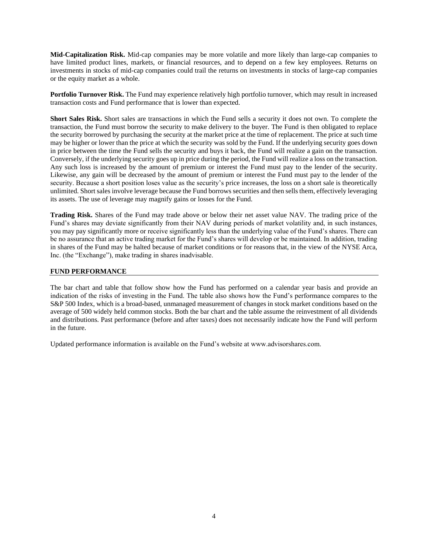**Mid-Capitalization Risk.** Mid-cap companies may be more volatile and more likely than large-cap companies to have limited product lines, markets, or financial resources, and to depend on a few key employees. Returns on investments in stocks of mid-cap companies could trail the returns on investments in stocks of large-cap companies or the equity market as a whole.

**Portfolio Turnover Risk.** The Fund may experience relatively high portfolio turnover, which may result in increased transaction costs and Fund performance that is lower than expected.

**Short Sales Risk.** Short sales are transactions in which the Fund sells a security it does not own. To complete the transaction, the Fund must borrow the security to make delivery to the buyer. The Fund is then obligated to replace the security borrowed by purchasing the security at the market price at the time of replacement. The price at such time may be higher or lower than the price at which the security was sold by the Fund. If the underlying security goes down in price between the time the Fund sells the security and buys it back, the Fund will realize a gain on the transaction. Conversely, if the underlying security goes up in price during the period, the Fund will realize a loss on the transaction. Any such loss is increased by the amount of premium or interest the Fund must pay to the lender of the security. Likewise, any gain will be decreased by the amount of premium or interest the Fund must pay to the lender of the security. Because a short position loses value as the security's price increases, the loss on a short sale is theoretically unlimited. Short sales involve leverage because the Fund borrows securities and then sells them, effectively leveraging its assets. The use of leverage may magnify gains or losses for the Fund.

**Trading Risk.** Shares of the Fund may trade above or below their net asset value NAV. The trading price of the Fund's shares may deviate significantly from their NAV during periods of market volatility and, in such instances, you may pay significantly more or receive significantly less than the underlying value of the Fund's shares. There can be no assurance that an active trading market for the Fund's shares will develop or be maintained. In addition, trading in shares of the Fund may be halted because of market conditions or for reasons that, in the view of the NYSE Arca, Inc. (the "Exchange"), make trading in shares inadvisable.

# **FUND PERFORMANCE**

The bar chart and table that follow show how the Fund has performed on a calendar year basis and provide an indication of the risks of investing in the Fund. The table also shows how the Fund's performance compares to the S&P 500 Index, which is a broad-based, unmanaged measurement of changes in stock market conditions based on the average of 500 widely held common stocks. Both the bar chart and the table assume the reinvestment of all dividends and distributions. Past performance (before and after taxes) does not necessarily indicate how the Fund will perform in the future.

Updated performance information is available on the Fund's website at www.advisorshares.com.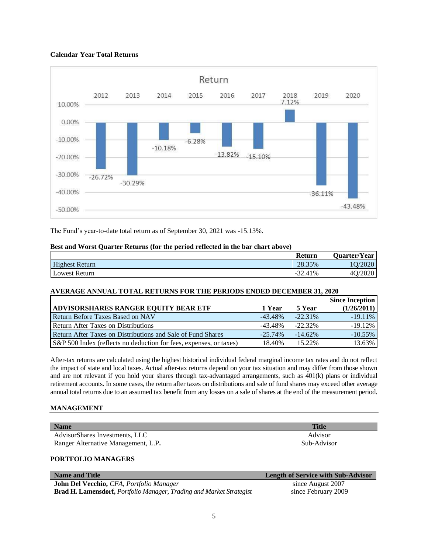# **Calendar Year Total Returns**



The Fund's year-to-date total return as of September 30, 2021 was -15.13%.

|                       | Return                 | Quarter/Year           |
|-----------------------|------------------------|------------------------|
| <b>Highest Return</b> | $20^{\circ}$<br>28.35% | $\sqrt{2020}$          |
| Lowest Return         | $-32.41%$              | $\frac{7020}{2}$<br>4O |

### **Best and Worst Quarter Returns (for the period reflected in the bar chart above)**

# **AVERAGE ANNUAL TOTAL RETURNS FOR THE PERIODS ENDED DECEMBER 31, 2020**

|                                                                    |            |            | <b>Since Inception</b> |
|--------------------------------------------------------------------|------------|------------|------------------------|
| <b>ADVISORSHARES RANGER EQUITY BEAR ETF</b>                        | 1 Year     | 5 Year     | (1/26/2011)            |
| <b>Return Before Taxes Based on NAV</b>                            | $-43.48\%$ | $-22.31\%$ | $-19.11\%$             |
| Return After Taxes on Distributions                                | $-43.48\%$ | $-22.32\%$ | $-19.12%$              |
| Return After Taxes on Distributions and Sale of Fund Shares        | $-25.74\%$ | $-14.62\%$ | $-10.55\%$             |
| S&P 500 Index (reflects no deduction for fees, expenses, or taxes) | 18.40%     | 15.22%     | 13.63%                 |

After-tax returns are calculated using the highest historical individual federal marginal income tax rates and do not reflect the impact of state and local taxes. Actual after-tax returns depend on your tax situation and may differ from those shown and are not relevant if you hold your shares through tax-advantaged arrangements, such as 401(k) plans or individual retirement accounts. In some cases, the return after taxes on distributions and sale of fund shares may exceed other average annual total returns due to an assumed tax benefit from any losses on a sale of shares at the end of the measurement period.

### **MANAGEMENT**

| <b>Name</b>                         | <b>Title</b>                              |
|-------------------------------------|-------------------------------------------|
| AdvisorShares Investments, LLC      | Advisor                                   |
| Ranger Alternative Management, L.P. | Sub-Advisor                               |
| <b>PORTFOLIO MANAGERS</b>           |                                           |
| <b>Name and Title</b>               | <b>Length of Service with Sub-Advisor</b> |

**John Del Vecchio,** *CFA, Portfolio Manager* **Brad H. Lamensdorf,** *Portfolio Manager, Trading and Market Strategist*

since August 2007 since February 2009